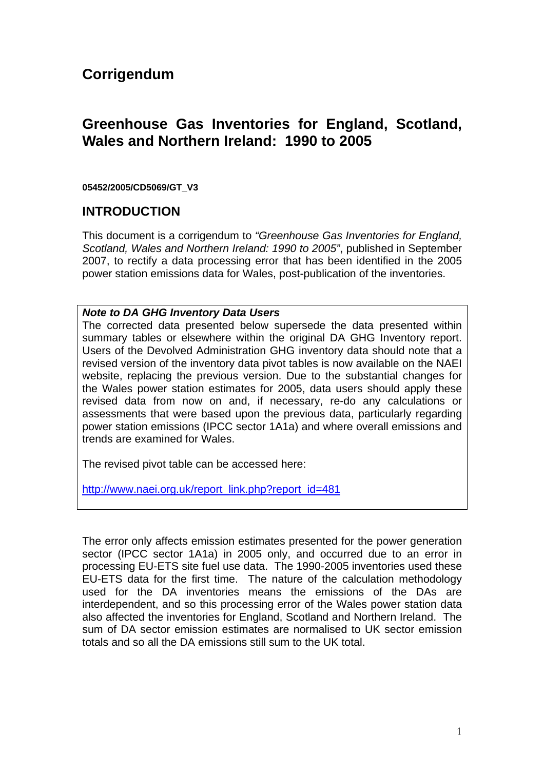# **Corrigendum**

# **Greenhouse Gas Inventories for England, Scotland, Wales and Northern Ireland: 1990 to 2005**

#### **05452/2005/CD5069/GT\_V3**

### **INTRODUCTION**

This document is a corrigendum to *"Greenhouse Gas Inventories for England, Scotland, Wales and Northern Ireland: 1990 to 2005"*, published in September 2007, to rectify a data processing error that has been identified in the 2005 power station emissions data for Wales, post-publication of the inventories.

#### *Note to DA GHG Inventory Data Users*

The corrected data presented below supersede the data presented within summary tables or elsewhere within the original DA GHG Inventory report. Users of the Devolved Administration GHG inventory data should note that a revised version of the inventory data pivot tables is now available on the NAEI website, replacing the previous version. Due to the substantial changes for the Wales power station estimates for 2005, data users should apply these revised data from now on and, if necessary, re-do any calculations or assessments that were based upon the previous data, particularly regarding power station emissions (IPCC sector 1A1a) and where overall emissions and trends are examined for Wales.

The revised pivot table can be accessed here:

[http://www.naei.org.uk/report\\_link.php?report\\_id=481](http://www.airquality.co.uk/archive/reports/cat07/0709180935_DA_GHGi_1990-2005_v3.xls)

The error only affects emission estimates presented for the power generation sector (IPCC sector 1A1a) in 2005 only, and occurred due to an error in processing EU-ETS site fuel use data. The 1990-2005 inventories used these EU-ETS data for the first time. The nature of the calculation methodology used for the DA inventories means the emissions of the DAs are interdependent, and so this processing error of the Wales power station data also affected the inventories for England, Scotland and Northern Ireland. The sum of DA sector emission estimates are normalised to UK sector emission totals and so all the DA emissions still sum to the UK total.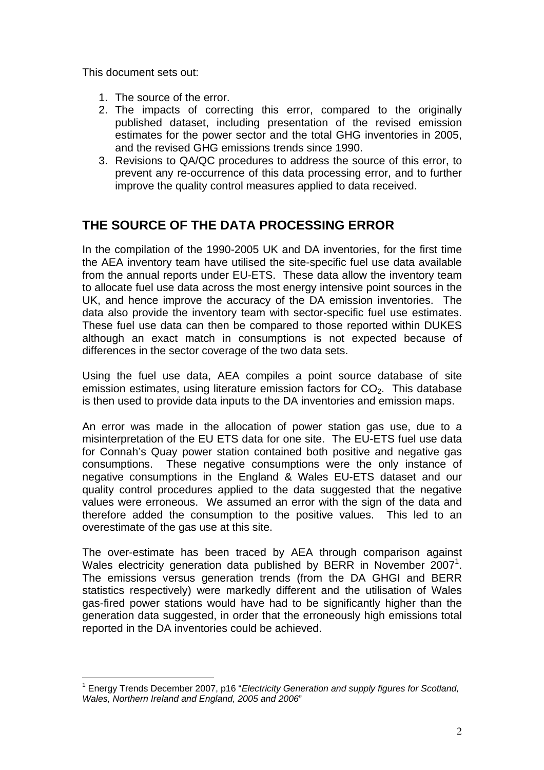This document sets out:

- 1. The source of the error.
- 2. The impacts of correcting this error, compared to the originally published dataset, including presentation of the revised emission estimates for the power sector and the total GHG inventories in 2005, and the revised GHG emissions trends since 1990.
- 3. Revisions to QA/QC procedures to address the source of this error, to prevent any re-occurrence of this data processing error, and to further improve the quality control measures applied to data received.

# **THE SOURCE OF THE DATA PROCESSING ERROR**

In the compilation of the 1990-2005 UK and DA inventories, for the first time the AEA inventory team have utilised the site-specific fuel use data available from the annual reports under EU-ETS. These data allow the inventory team to allocate fuel use data across the most energy intensive point sources in the UK, and hence improve the accuracy of the DA emission inventories. The data also provide the inventory team with sector-specific fuel use estimates. These fuel use data can then be compared to those reported within DUKES although an exact match in consumptions is not expected because of differences in the sector coverage of the two data sets.

Using the fuel use data, AEA compiles a point source database of site emission estimates, using literature emission factors for  $CO<sub>2</sub>$ . This database is then used to provide data inputs to the DA inventories and emission maps.

An error was made in the allocation of power station gas use, due to a misinterpretation of the EU ETS data for one site. The EU-ETS fuel use data for Connah's Quay power station contained both positive and negative gas consumptions. These negative consumptions were the only instance of negative consumptions in the England & Wales EU-ETS dataset and our quality control procedures applied to the data suggested that the negative values were erroneous. We assumed an error with the sign of the data and therefore added the consumption to the positive values. This led to an overestimate of the gas use at this site.

The over-estimate has been traced by AEA through comparison against Wales electricity generation data published by BERR in November  $2007^1$  $2007^1$ . The emissions versus generation trends (from the DA GHGI and BERR statistics respectively) were markedly different and the utilisation of Wales gas-fired power stations would have had to be significantly higher than the generation data suggested, in order that the erroneously high emissions total reported in the DA inventories could be achieved.

<span id="page-1-0"></span> $\overline{a}$ 1 Energy Trends December 2007, p16 "*Electricity Generation and supply figures for Scotland, Wales, Northern Ireland and England, 2005 and 2006*"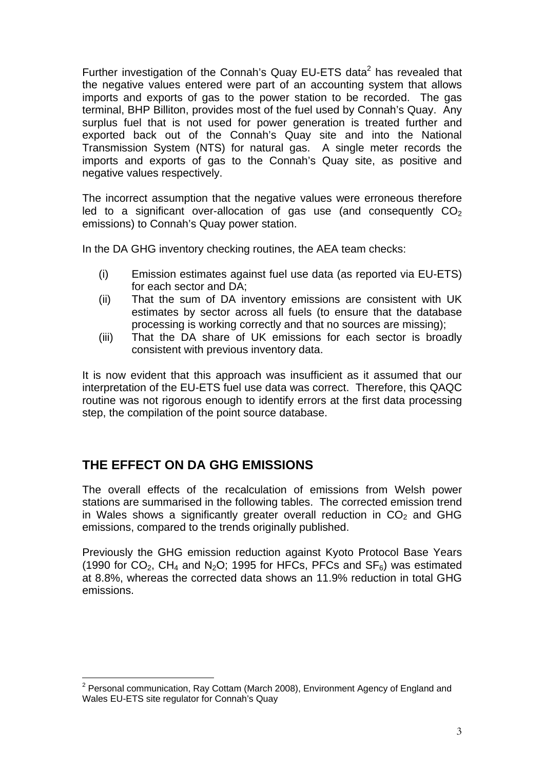Further investigation of the Connah's Quay EU-ETS data $2$  has revealed that the negative values entered were part of an accounting system that allows imports and exports of gas to the power station to be recorded. The gas terminal, BHP Billiton, provides most of the fuel used by Connah's Quay. Any surplus fuel that is not used for power generation is treated further and exported back out of the Connah's Quay site and into the National Transmission System (NTS) for natural gas. A single meter records the imports and exports of gas to the Connah's Quay site, as positive and negative values respectively.

The incorrect assumption that the negative values were erroneous therefore led to a significant over-allocation of gas use (and consequently  $CO<sub>2</sub>$ ) emissions) to Connah's Quay power station.

In the DA GHG inventory checking routines, the AEA team checks:

- (i) Emission estimates against fuel use data (as reported via EU-ETS) for each sector and DA;
- (ii) That the sum of DA inventory emissions are consistent with UK estimates by sector across all fuels (to ensure that the database processing is working correctly and that no sources are missing);
- (iii) That the DA share of UK emissions for each sector is broadly consistent with previous inventory data.

It is now evident that this approach was insufficient as it assumed that our interpretation of the EU-ETS fuel use data was correct. Therefore, this QAQC routine was not rigorous enough to identify errors at the first data processing step, the compilation of the point source database.

## **THE EFFECT ON DA GHG EMISSIONS**

The overall effects of the recalculation of emissions from Welsh power stations are summarised in the following tables. The corrected emission trend in Wales shows a significantly greater overall reduction in  $CO<sub>2</sub>$  and GHG emissions, compared to the trends originally published.

Previously the GHG emission reduction against Kyoto Protocol Base Years (1990 for  $CO<sub>2</sub>$ , CH<sub>4</sub> and N<sub>2</sub>O; 1995 for HFCs, PFCs and SF<sub>6</sub>) was estimated at 8.8%, whereas the corrected data shows an 11.9% reduction in total GHG emissions.

<span id="page-2-0"></span> $\overline{a}$ <sup>2</sup> Personal communication, Ray Cottam (March 2008), Environment Agency of England and Wales EU-ETS site regulator for Connah's Quay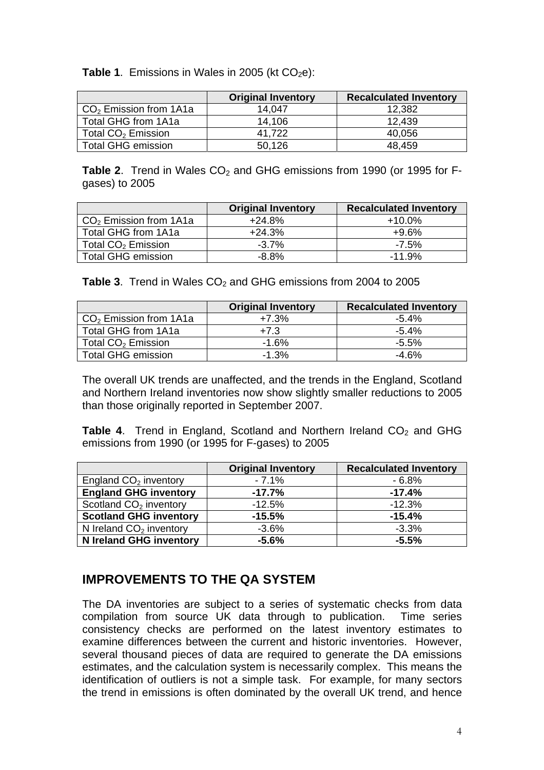**Table 1.** Emissions in Wales in 2005 (kt  $CO<sub>2</sub>e$ ):

|                                | <b>Original Inventory</b> | <b>Recalculated Inventory</b> |
|--------------------------------|---------------------------|-------------------------------|
| $CO2$ Emission from 1A1a       | 14.047                    | 12,382                        |
| Total GHG from 1A1a            | 14.106                    | 12.439                        |
| Total CO <sub>2</sub> Emission | 41.722                    | 40,056                        |
| <b>Total GHG emission</b>      | 50,126                    | 48,459                        |

Table 2. Trend in Wales CO<sub>2</sub> and GHG emissions from 1990 (or 1995 for Fgases) to 2005

|                                | <b>Original Inventory</b> | <b>Recalculated Inventory</b> |
|--------------------------------|---------------------------|-------------------------------|
| $CO2$ Emission from 1A1a       | $+24.8%$                  | $+10.0\%$                     |
| Total GHG from 1A1a            | $+24.3%$                  | +9.6%                         |
| Total CO <sub>2</sub> Emission | $-3.7\%$                  | $-7.5\%$                      |
| <b>Total GHG emission</b>      | $-8.8\%$                  | $-11.9\%$                     |

**Table 3.** Trend in Wales CO<sub>2</sub> and GHG emissions from 2004 to 2005

|                                | <b>Original Inventory</b> | <b>Recalculated Inventory</b> |
|--------------------------------|---------------------------|-------------------------------|
| $CO2$ Emission from 1A1a       | $+7.3%$                   | $-5.4\%$                      |
| Total GHG from 1A1a            | $+7.3$                    | $-5.4\%$                      |
| Total CO <sub>2</sub> Emission | $-1.6%$                   | $-5.5\%$                      |
| <b>Total GHG emission</b>      | $-1.3%$                   | -4.6%                         |

The overall UK trends are unaffected, and the trends in the England, Scotland and Northern Ireland inventories now show slightly smaller reductions to 2005 than those originally reported in September 2007.

**Table 4.** Trend in England, Scotland and Northern Ireland CO<sub>2</sub> and GHG emissions from 1990 (or 1995 for F-gases) to 2005

|                                    | <b>Original Inventory</b> | <b>Recalculated Inventory</b> |
|------------------------------------|---------------------------|-------------------------------|
| England $CO2$ inventory            | $-7.1\%$                  | - 6.8%                        |
| <b>England GHG inventory</b>       | $-17.7%$                  | $-17.4%$                      |
| Scotland CO <sub>2</sub> inventory | $-12.5%$                  | $-12.3%$                      |
| <b>Scotland GHG inventory</b>      | $-15.5%$                  | $-15.4%$                      |
| N Ireland $CO2$ inventory          | $-3.6%$                   | $-3.3%$                       |
| N Ireland GHG inventory            | $-5.6\%$                  | $-5.5%$                       |

## **IMPROVEMENTS TO THE QA SYSTEM**

The DA inventories are subject to a series of systematic checks from data compilation from source UK data through to publication. Time series consistency checks are performed on the latest inventory estimates to examine differences between the current and historic inventories. However, several thousand pieces of data are required to generate the DA emissions estimates, and the calculation system is necessarily complex. This means the identification of outliers is not a simple task. For example, for many sectors the trend in emissions is often dominated by the overall UK trend, and hence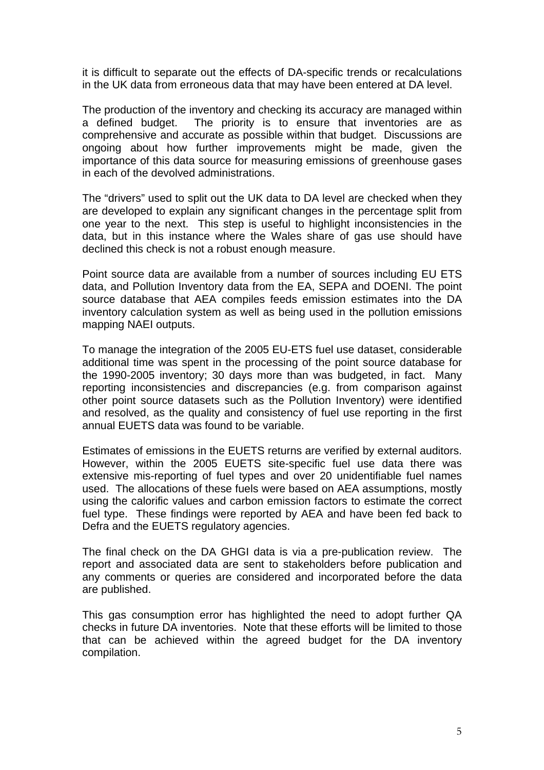it is difficult to separate out the effects of DA-specific trends or recalculations in the UK data from erroneous data that may have been entered at DA level.

The production of the inventory and checking its accuracy are managed within a defined budget. The priority is to ensure that inventories are as comprehensive and accurate as possible within that budget. Discussions are ongoing about how further improvements might be made, given the importance of this data source for measuring emissions of greenhouse gases in each of the devolved administrations.

The "drivers" used to split out the UK data to DA level are checked when they are developed to explain any significant changes in the percentage split from one year to the next. This step is useful to highlight inconsistencies in the data, but in this instance where the Wales share of gas use should have declined this check is not a robust enough measure.

Point source data are available from a number of sources including EU ETS data, and Pollution Inventory data from the EA, SEPA and DOENI. The point source database that AEA compiles feeds emission estimates into the DA inventory calculation system as well as being used in the pollution emissions mapping NAEI outputs.

To manage the integration of the 2005 EU-ETS fuel use dataset, considerable additional time was spent in the processing of the point source database for the 1990-2005 inventory; 30 days more than was budgeted, in fact. Many reporting inconsistencies and discrepancies (e.g. from comparison against other point source datasets such as the Pollution Inventory) were identified and resolved, as the quality and consistency of fuel use reporting in the first annual EUETS data was found to be variable.

Estimates of emissions in the EUETS returns are verified by external auditors. However, within the 2005 EUETS site-specific fuel use data there was extensive mis-reporting of fuel types and over 20 unidentifiable fuel names used. The allocations of these fuels were based on AEA assumptions, mostly using the calorific values and carbon emission factors to estimate the correct fuel type. These findings were reported by AEA and have been fed back to Defra and the EUETS regulatory agencies.

The final check on the DA GHGI data is via a pre-publication review. The report and associated data are sent to stakeholders before publication and any comments or queries are considered and incorporated before the data are published.

This gas consumption error has highlighted the need to adopt further QA checks in future DA inventories. Note that these efforts will be limited to those that can be achieved within the agreed budget for the DA inventory compilation.